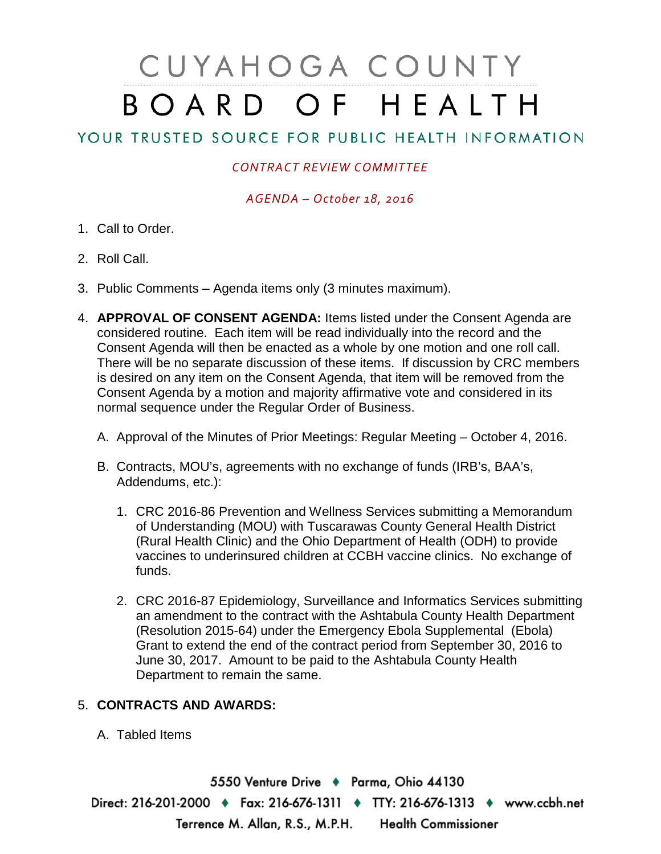# CUYAHOGA COUNTY BOARD OF HEALTH

# YOUR TRUSTED SOURCE FOR PUBLIC HEALTH INFORMATION

## *CONTRACT REVIEW COMMITTEE*

### *AGENDA – October 18, 2016*

- 1. Call to Order.
- 2. Roll Call.
- 3. Public Comments Agenda items only (3 minutes maximum).
- 4. **APPROVAL OF CONSENT AGENDA:** Items listed under the Consent Agenda are considered routine. Each item will be read individually into the record and the Consent Agenda will then be enacted as a whole by one motion and one roll call. There will be no separate discussion of these items. If discussion by CRC members is desired on any item on the Consent Agenda, that item will be removed from the Consent Agenda by a motion and majority affirmative vote and considered in its normal sequence under the Regular Order of Business.
	- A. Approval of the Minutes of Prior Meetings: Regular Meeting October 4, 2016.
	- B. Contracts, MOU's, agreements with no exchange of funds (IRB's, BAA's, Addendums, etc.):
		- 1. CRC 2016-86 Prevention and Wellness Services submitting a Memorandum of Understanding (MOU) with Tuscarawas County General Health District (Rural Health Clinic) and the Ohio Department of Health (ODH) to provide vaccines to underinsured children at CCBH vaccine clinics. No exchange of funds.
		- 2. CRC 2016-87 Epidemiology, Surveillance and Informatics Services submitting an amendment to the contract with the Ashtabula County Health Department (Resolution 2015-64) under the Emergency Ebola Supplemental (Ebola) Grant to extend the end of the contract period from September 30, 2016 to June 30, 2017. Amount to be paid to the Ashtabula County Health Department to remain the same.

#### 5. **CONTRACTS AND AWARDS:**

A. Tabled Items

5550 Venture Drive + Parma, Ohio 44130 Direct: 216-201-2000 • Fax: 216-676-1311 • TTY: 216-676-1313 • www.ccbh.net Terrence M. Allan, R.S., M.P.H. Health Commissioner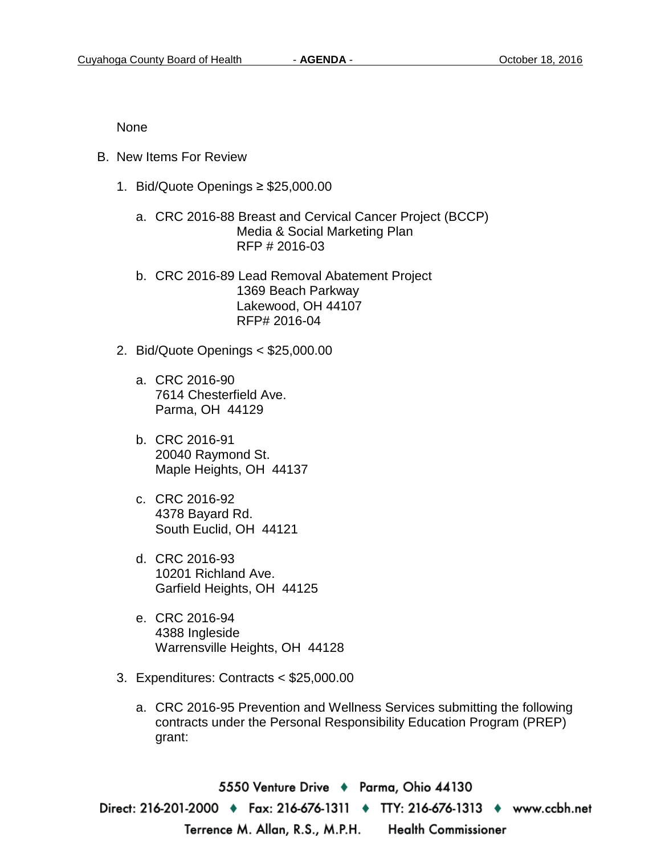None

- B. New Items For Review
	- 1. Bid/Quote Openings ≥ \$25,000.00
		- a. CRC 2016-88 Breast and Cervical Cancer Project (BCCP) Media & Social Marketing Plan RFP # 2016-03
		- b. CRC 2016-89 Lead Removal Abatement Project 1369 Beach Parkway Lakewood, OH 44107 RFP# 2016-04
	- 2. Bid/Quote Openings < \$25,000.00
		- a. CRC 2016-90 7614 Chesterfield Ave. Parma, OH 44129
		- b. CRC 2016-91 20040 Raymond St. Maple Heights, OH 44137
		- c. CRC 2016-92 4378 Bayard Rd. South Euclid, OH 44121
		- d. CRC 2016-93 10201 Richland Ave. Garfield Heights, OH 44125
		- e. CRC 2016-94 4388 Ingleside Warrensville Heights, OH 44128
	- 3. Expenditures: Contracts < \$25,000.00
		- a. CRC 2016-95 Prevention and Wellness Services submitting the following contracts under the Personal Responsibility Education Program (PREP) grant:

5550 Venture Drive ♦ Parma, Ohio 44130 Direct: 216-201-2000 ♦ Fax: 216-676-1311 ♦ TTY: 216-676-1313 ♦ www.ccbh.net Terrence M. Allan, R.S., M.P.H. Health Commissioner